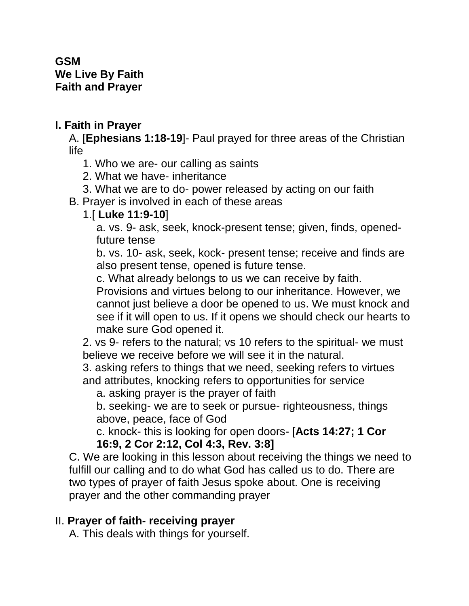#### **GSM We Live By Faith Faith and Prayer**

## **I. Faith in Prayer**

A. [**Ephesians 1:18-19**]- Paul prayed for three areas of the Christian life

1. Who we are- our calling as saints

- 2. What we have- inheritance
- 3. What we are to do- power released by acting on our faith

B. Prayer is involved in each of these areas

### 1.[ **Luke 11:9-10**]

a. vs. 9- ask, seek, knock-present tense; given, finds, openedfuture tense

b. vs. 10- ask, seek, kock- present tense; receive and finds are also present tense, opened is future tense.

c. What already belongs to us we can receive by faith.

Provisions and virtues belong to our inheritance. However, we cannot just believe a door be opened to us. We must knock and see if it will open to us. If it opens we should check our hearts to make sure God opened it.

2. vs 9- refers to the natural; vs 10 refers to the spiritual- we must believe we receive before we will see it in the natural.

3. asking refers to things that we need, seeking refers to virtues and attributes, knocking refers to opportunities for service

a. asking prayer is the prayer of faith

b. seeking- we are to seek or pursue- righteousness, things above, peace, face of God

c. knock- this is looking for open doors- [**Acts 14:27; 1 Cor 16:9, 2 Cor 2:12, Col 4:3, Rev. 3:8]**

C. We are looking in this lesson about receiving the things we need to fulfill our calling and to do what God has called us to do. There are two types of prayer of faith Jesus spoke about. One is receiving prayer and the other commanding prayer

# II. **Prayer of faith- receiving prayer**

A. This deals with things for yourself.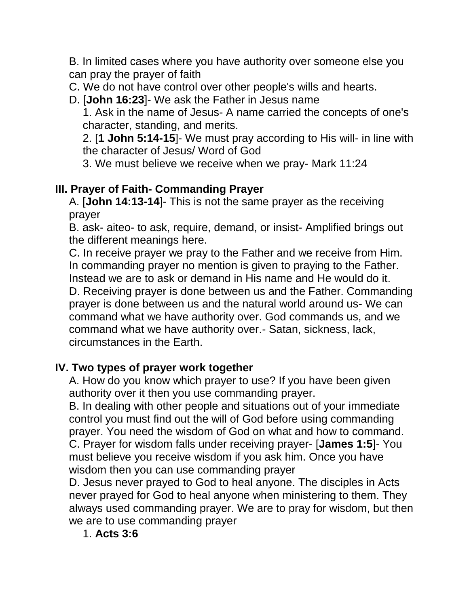B. In limited cases where you have authority over someone else you can pray the prayer of faith

C. We do not have control over other people's wills and hearts.

D. [**John 16:23**]- We ask the Father in Jesus name

1. Ask in the name of Jesus- A name carried the concepts of one's character, standing, and merits.

2. [**1 John 5:14-15**]- We must pray according to His will- in line with the character of Jesus/ Word of God

3. We must believe we receive when we pray- Mark 11:24

### **III. Prayer of Faith- Commanding Prayer**

A. [**John 14:13-14**]- This is not the same prayer as the receiving prayer

B. ask- aiteo- to ask, require, demand, or insist- Amplified brings out the different meanings here.

C. In receive prayer we pray to the Father and we receive from Him. In commanding prayer no mention is given to praying to the Father. Instead we are to ask or demand in His name and He would do it. D. Receiving prayer is done between us and the Father. Commanding prayer is done between us and the natural world around us- We can command what we have authority over. God commands us, and we command what we have authority over.- Satan, sickness, lack, circumstances in the Earth.

### **IV. Two types of prayer work together**

A. How do you know which prayer to use? If you have been given authority over it then you use commanding prayer.

B. In dealing with other people and situations out of your immediate control you must find out the will of God before using commanding prayer. You need the wisdom of God on what and how to command. C. Prayer for wisdom falls under receiving prayer- [**James 1:5**]- You must believe you receive wisdom if you ask him. Once you have wisdom then you can use commanding prayer

D. Jesus never prayed to God to heal anyone. The disciples in Acts never prayed for God to heal anyone when ministering to them. They always used commanding prayer. We are to pray for wisdom, but then we are to use commanding prayer

### 1. **Acts 3:6**